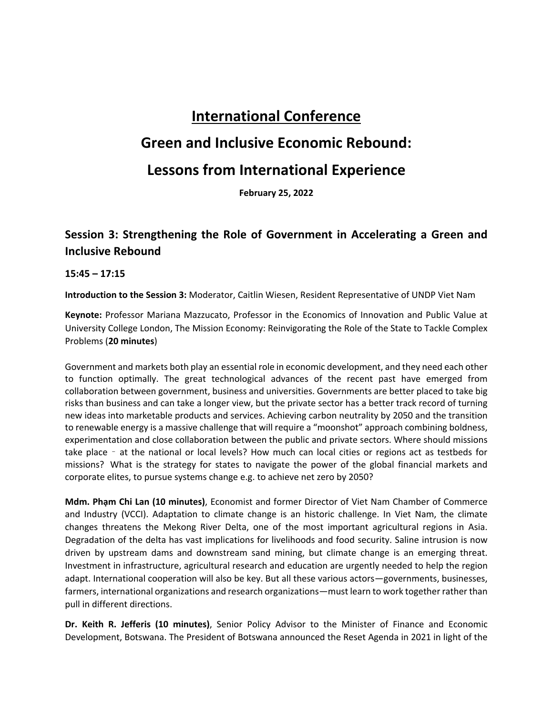# **International Conference**

## **Green and Inclusive Economic Rebound:**

## **Lessons from International Experience**

**February 25, 2022**

### **Session 3: Strengthening the Role of Government in Accelerating a Green and Inclusive Rebound**

**15:45 – 17:15**

**Introduction to the Session 3:** Moderator, Caitlin Wiesen, Resident Representative of UNDP Viet Nam

**Keynote:** Professor Mariana Mazzucato, Professor in the Economics of Innovation and Public Value at University College London, The Mission Economy: Reinvigorating the Role of the State to Tackle Complex Problems (**20 minutes**)

Government and markets both play an essential role in economic development, and they need each other to function optimally. The great technological advances of the recent past have emerged from collaboration between government, business and universities. Governments are better placed to take big risks than business and can take a longer view, but the private sector has a better track record of turning new ideas into marketable products and services. Achieving carbon neutrality by 2050 and the transition to renewable energy is a massive challenge that will require a "moonshot" approach combining boldness, experimentation and close collaboration between the public and private sectors. Where should missions take place – at the national or local levels? How much can local cities or regions act as testbeds for missions? What is the strategy for states to navigate the power of the global financial markets and corporate elites, to pursue systems change e.g. to achieve net zero by 2050?

**Mdm. Phạm Chi Lan (10 minutes)**, Economist and former Director of Viet Nam Chamber of Commerce and Industry (VCCI). Adaptation to climate change is an historic challenge. In Viet Nam, the climate changes threatens the Mekong River Delta, one of the most important agricultural regions in Asia. Degradation of the delta has vast implications for livelihoods and food security. Saline intrusion is now driven by upstream dams and downstream sand mining, but climate change is an emerging threat. Investment in infrastructure, agricultural research and education are urgently needed to help the region adapt. International cooperation will also be key. But all these various actors—governments, businesses, farmers, international organizations and research organizations—must learn to work together rather than pull in different directions.

**Dr. Keith R. Jefferis (10 minutes)**, Senior Policy Advisor to the Minister of Finance and Economic Development, Botswana. The President of Botswana announced the Reset Agenda in 2021 in light of the